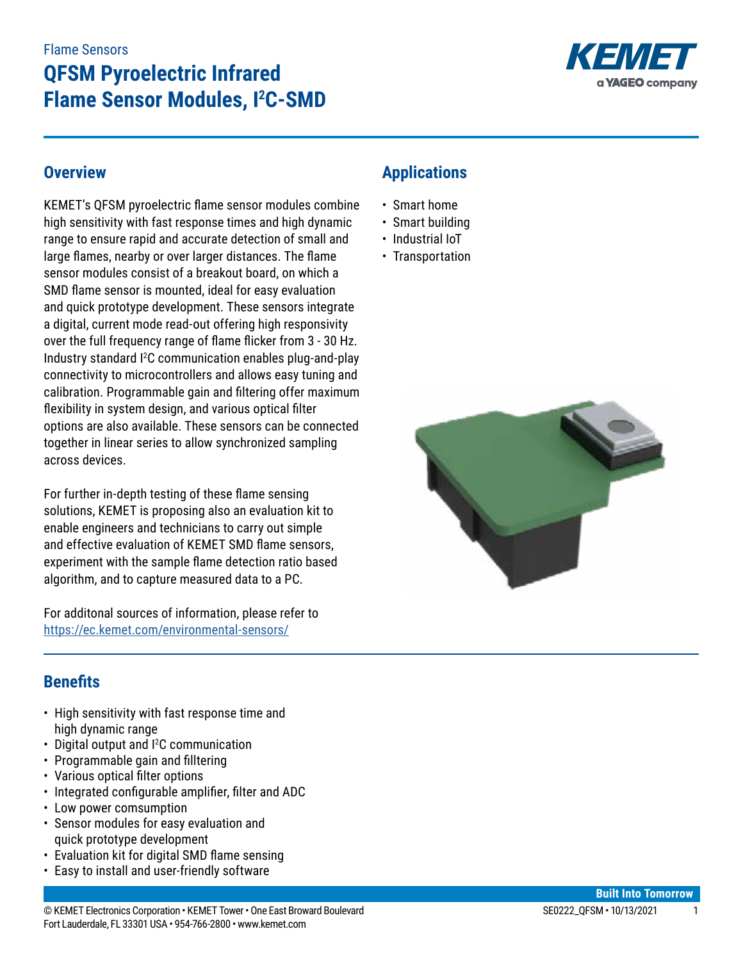# **QFSM Pyroelectric Infrared Flame Sensor Modules, I<sup>2</sup> C-SMD**



# **Overview**

KEMET's QFSM pyroelectric flame sensor modules combine high sensitivity with fast response times and high dynamic range to ensure rapid and accurate detection of small and large flames, nearby or over larger distances. The flame sensor modules consist of a breakout board, on which a SMD flame sensor is mounted, ideal for easy evaluation and quick prototype development. These sensors integrate a digital, current mode read-out offering high responsivity over the full frequency range of flame flicker from 3 - 30 Hz. Industry standard I2 C communication enables plug-and-play connectivity to microcontrollers and allows easy tuning and calibration. Programmable gain and filtering offer maximum flexibility in system design, and various optical filter options are also available. These sensors can be connected together in linear series to allow synchronized sampling across devices.

For further in-depth testing of these flame sensing solutions, KEMET is proposing also an evaluation kit to enable engineers and technicians to carry out simple and effective evaluation of KEMET SMD flame sensors, experiment with the sample flame detection ratio based algorithm, and to capture measured data to a PC.

For additonal sources of information, please refer to <https://ec.kemet.com/environmental-sensors/>

# **Applications**

- Smart home
- Smart building
- Industrial IoT
- Transportation



# **Benefits**

- High sensitivity with fast response time and high dynamic range
- Digital output and <sup>2</sup>C communication
- Programmable gain and filltering
- Various optical filter options
- Integrated configurable amplifier, filter and ADC
- Low power comsumption
- Sensor modules for easy evaluation and quick prototype development
- Evaluation kit for digital SMD flame sensing
- Easy to install and user-friendly software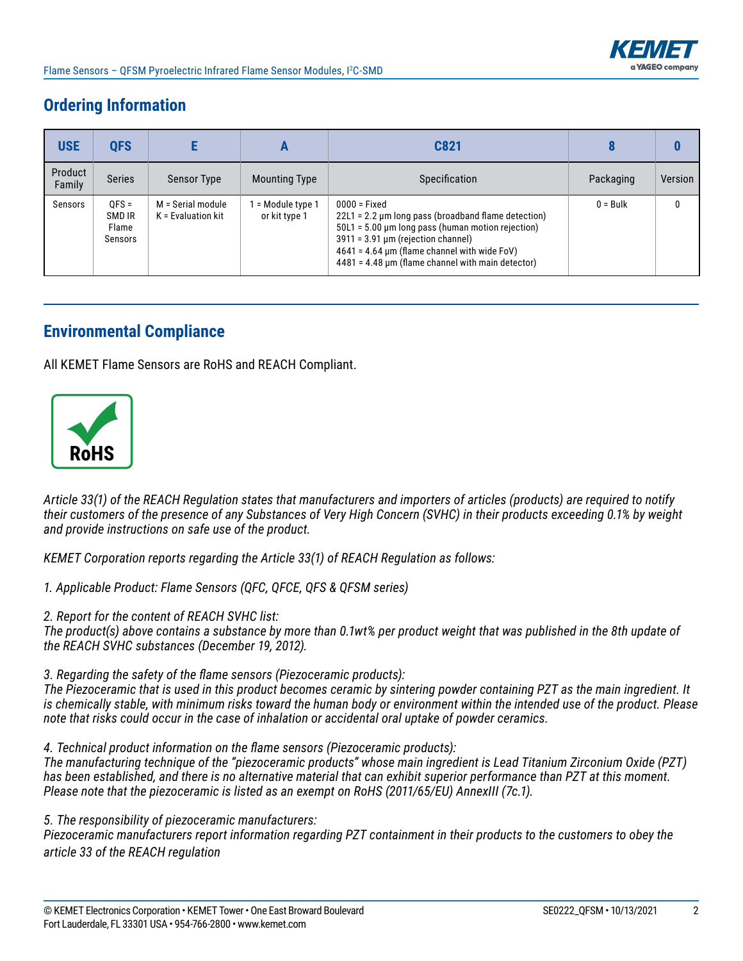

# **Ordering Information**

| <b>USE</b>        | <b>QFS</b>                            |                                           |                                  | C821                                                                                                                                                                                                                                                                                       |            |         |
|-------------------|---------------------------------------|-------------------------------------------|----------------------------------|--------------------------------------------------------------------------------------------------------------------------------------------------------------------------------------------------------------------------------------------------------------------------------------------|------------|---------|
| Product<br>Family | <b>Series</b>                         | <b>Sensor Type</b>                        | <b>Mounting Type</b>             | <b>Specification</b>                                                                                                                                                                                                                                                                       | Packaging  | Version |
| Sensors           | $OFS =$<br>SMD IR<br>Flame<br>Sensors | M = Serial module<br>$K =$ Evaluation kit | = Module type 1<br>or kit type 1 | $0000 =$ Fixed<br>$22L1 = 2.2 \mu m$ long pass (broadband flame detection)<br>$50L1 = 5.00 \mu m$ long pass (human motion rejection)<br>$3911 = 3.91 \,\mu m$ (rejection channel)<br>$4641 = 4.64$ µm (flame channel with wide FoV)<br>$4481 = 4.48$ µm (flame channel with main detector) | $0 = Bulk$ | 0       |

# **Environmental Compliance**

All KEMET Flame Sensors are RoHS and REACH Compliant.



*Article 33(1) of the REACH Regulation states that manufacturers and importers of articles (products) are required to notify their customers of the presence of any Substances of Very High Concern (SVHC) in their products exceeding 0.1% by weight and provide instructions on safe use of the product.*

*KEMET Corporation reports regarding the Article 33(1) of REACH Regulation as follows:*

*1. Applicable Product: Flame Sensors (QFC, QFCE, QFS & QFSM series)*

*2. Report for the content of REACH SVHC list:* 

*The product(s) above contains a substance by more than 0.1wt% per product weight that was published in the 8th update of the REACH SVHC substances (December 19, 2012).* 

*3. Regarding the safety of the flame sensors (Piezoceramic products):*

*The Piezoceramic that is used in this product becomes ceramic by sintering powder containing PZT as the main ingredient. It is chemically stable, with minimum risks toward the human body or environment within the intended use of the product. Please note that risks could occur in the case of inhalation or accidental oral uptake of powder ceramics.*

*4. Technical product information on the flame sensors (Piezoceramic products):*

*The manufacturing technique of the "piezoceramic products" whose main ingredient is Lead Titanium Zirconium Oxide (PZT) has been established, and there is no alternative material that can exhibit superior performance than PZT at this moment. Please note that the piezoceramic is listed as an exempt on RoHS (2011/65/EU) AnnexIII (7c.1).*

*5. The responsibility of piezoceramic manufacturers:*

*Piezoceramic manufacturers report information regarding PZT containment in their products to the customers to obey the article 33 of the REACH regulation*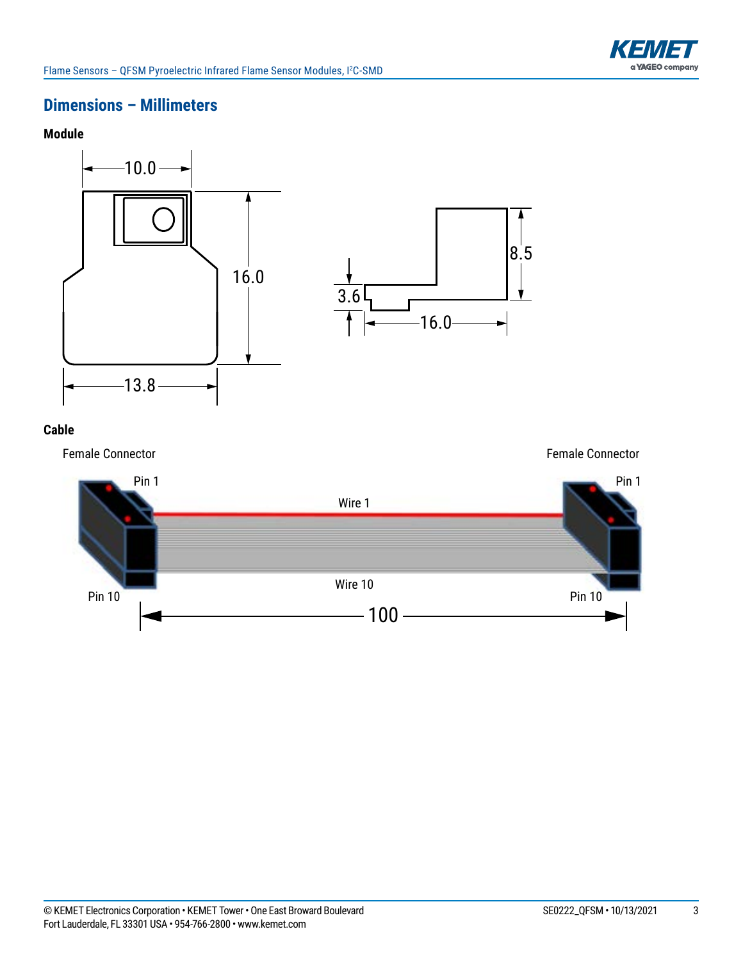

# **Dimensions – Millimeters**





#### **Cable**

Female Connector

Female Connector

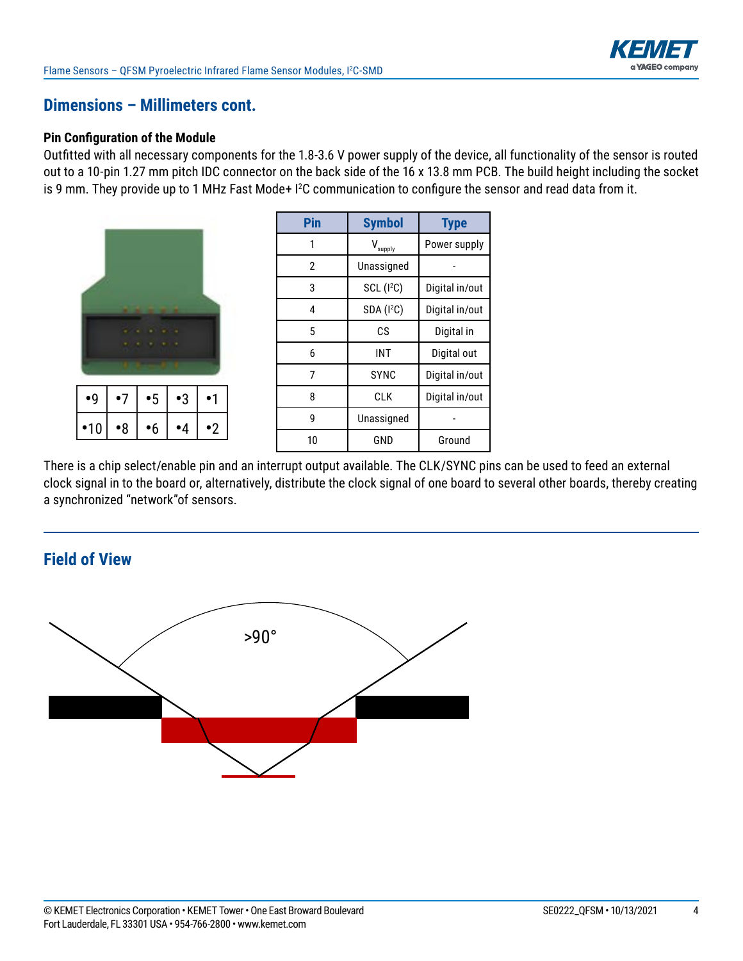

### **Dimensions – Millimeters cont.**

#### **Pin Configuration of the Module**

Outfitted with all necessary components for the 1.8-3.6 V power supply of the device, all functionality of the sensor is routed out to a 10-pin 1.27 mm pitch IDC connector on the back side of the 16 x 13.8 mm PCB. The build height including the socket is 9 mm. They provide up to 1 MHz Fast Mode+ I 2 C communication to configure the sensor and read data from it.

| $\bullet$ 9 | $\cdot$ 7   | •5 | •3 |           |
|-------------|-------------|----|----|-----------|
| •10         | $\bullet 8$ | '6 |    | $\cdot$ 2 |

| Pin | <b>Symbol</b>          | <b>Type</b>    |
|-----|------------------------|----------------|
| 1   | supply                 | Power supply   |
| 2   | Unassigned             |                |
| 3   | SCL (I <sup>2</sup> C) | Digital in/out |
| 4   | SDA (I <sup>2</sup> C) | Digital in/out |
| 5   | СS                     | Digital in     |
| 6   | INT                    | Digital out    |
| 7   | <b>SYNC</b>            | Digital in/out |
| 8   | CLK                    | Digital in/out |
| g   | Unassigned             |                |
| 10  | GND                    | Ground         |

There is a chip select/enable pin and an interrupt output available. The CLK/SYNC pins can be used to feed an external clock signal in to the board or, alternatively, distribute the clock signal of one board to several other boards, thereby creating a synchronized "network"of sensors.

### **Field of View**

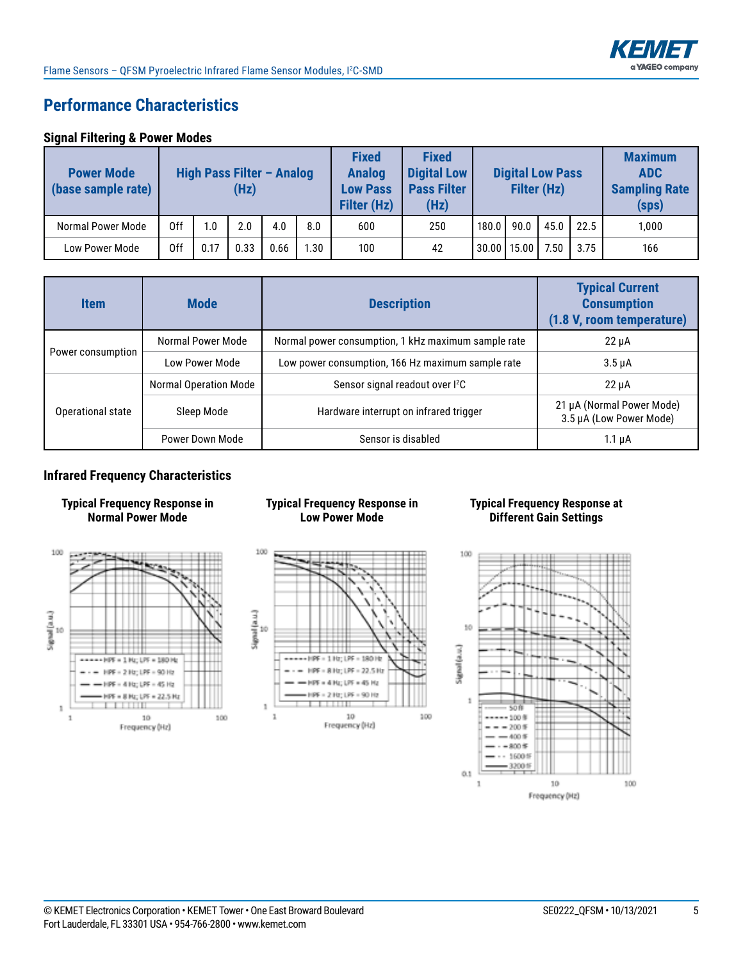

# **Performance Characteristics**

#### **Signal Filtering & Power Modes**

| <b>Power Mode</b><br>(base sample rate) | High Pass Filter - Analog<br>(Hz) |      | <b>Fixed</b><br><b>Analog</b><br><b>Low Pass</b><br><b>Filter (Hz)</b> | <b>Fixed</b><br><b>Digital Low</b><br><b>Pass Filter</b><br>(Hz) |      | <b>Digital Low Pass</b><br>Filter (Hz) |     |       | <b>Maximum</b><br><b>ADC</b><br><b>Sampling Rate</b><br>(sps) |      |      |       |
|-----------------------------------------|-----------------------------------|------|------------------------------------------------------------------------|------------------------------------------------------------------|------|----------------------------------------|-----|-------|---------------------------------------------------------------|------|------|-------|
| Normal Power Mode                       | 0ff                               | 1.0  | 2.0                                                                    | 4.0                                                              | 8.0  | 600                                    | 250 | 180.0 | 90.0                                                          | 45.0 | 22.5 | 1.000 |
| <b>Low Power Mode</b>                   | 0ff                               | 0.17 | 0.33                                                                   | 0.66                                                             | 1.30 | 100                                    | 42  |       | 30.00   15.00                                                 | 7.50 | 3.75 | 166   |

| <b>Item</b>       | <b>Mode</b>           | <b>Description</b>                                  | <b>Typical Current</b><br><b>Consumption</b><br>(1.8 V, room temperature) |
|-------------------|-----------------------|-----------------------------------------------------|---------------------------------------------------------------------------|
|                   | Normal Power Mode     | Normal power consumption, 1 kHz maximum sample rate | $22 \mu A$                                                                |
| Power consumption | Low Power Mode        | Low power consumption, 166 Hz maximum sample rate   | $3.5 \mu A$                                                               |
|                   | Normal Operation Mode | Sensor signal readout over I <sup>2</sup> C         | $22 \mu A$                                                                |
| Operational state | Sleep Mode            | Hardware interrupt on infrared trigger              | 21 µA (Normal Power Mode)<br>3.5 µA (Low Power Mode)                      |
|                   | Power Down Mode       | Sensor is disabled                                  | $1.1 \mu A$                                                               |

#### **Infrared Frequency Characteristics**





#### **Typical Frequency Response in Low Power Mode**



#### **Typical Frequency Response at Different Gain Settings**

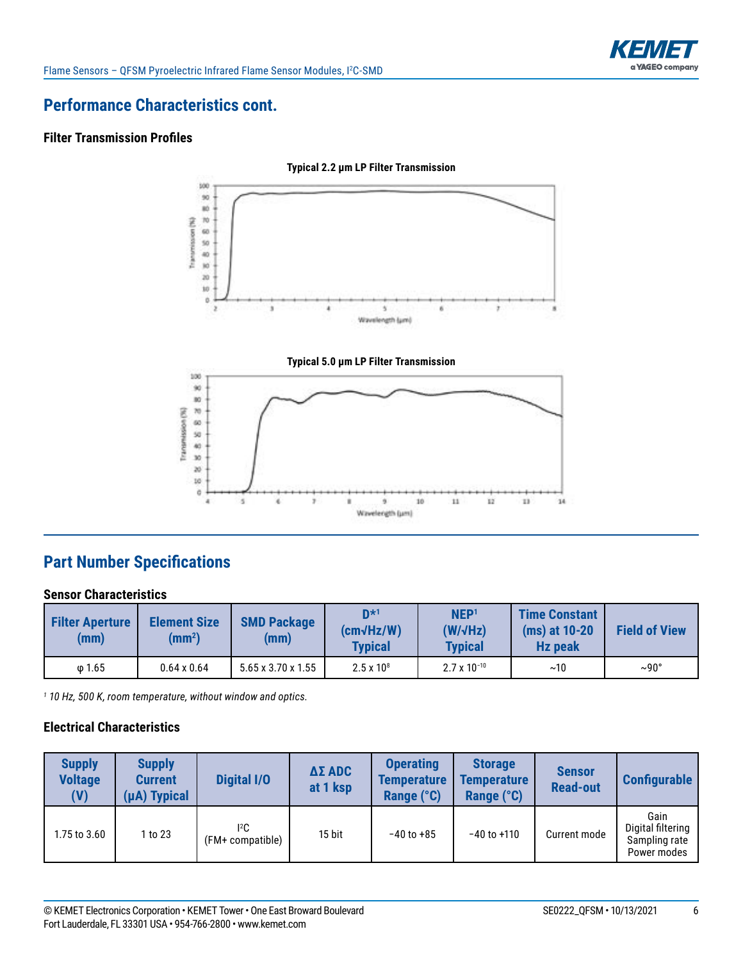



# **Performance Characteristics cont.**

#### **Filter Transmission Profiles**





# **Part Number Specifications**

#### **Sensor Characteristics**

| <b>Filter Aperture</b><br>(mm) | <b>Element Size</b><br>(mm <sup>2</sup> ) | <b>SMD Package</b><br>(mm)     | $\mathsf{D}^{\star 1}$<br>$(cm\sqrt{Hz/W})$<br><b>Typical</b> | NEP <sup>1</sup><br>$(W/\sqrt{Hz})$<br><b>Typical</b> | <b>Time Constant</b><br>(ms) at 10-20<br><b>Hz peak</b> | <b>Field of View</b> |
|--------------------------------|-------------------------------------------|--------------------------------|---------------------------------------------------------------|-------------------------------------------------------|---------------------------------------------------------|----------------------|
| $\omega$ 1.65                  | $0.64 \times 0.64$                        | $5.65 \times 3.70 \times 1.55$ | $2.5 \times 10^8$                                             | $2.7 \times 10^{-10}$                                 | ~10                                                     | $\sim$ 90°           |

*1 10 Hz, 500 K, room temperature, without window and optics.*

#### **Electrical Characteristics**

| <b>Supply</b><br><b>Voltage</b><br>(V) | <b>Supply</b><br><b>Current</b><br>(µA) Typical | <b>Digital I/O</b>      | $\Delta \Sigma$ ADC<br>at 1 ksp | <b>Operating</b><br><b>Temperature</b><br>Range (°C) | <b>Storage</b><br><b>Temperature</b><br>Range (°C) | <b>Sensor</b><br><b>Read-out</b> | <b>Configurable</b>                                       |
|----------------------------------------|-------------------------------------------------|-------------------------|---------------------------------|------------------------------------------------------|----------------------------------------------------|----------------------------------|-----------------------------------------------------------|
| 1.75 to 3.60                           | 1 to 23                                         | 12C<br>(FM+ compatible) | 15 bit                          | $-40$ to $+85$                                       | $-40$ to $+110$                                    | Current mode                     | Gain<br>Digital filtering<br>Sampling rate<br>Power modes |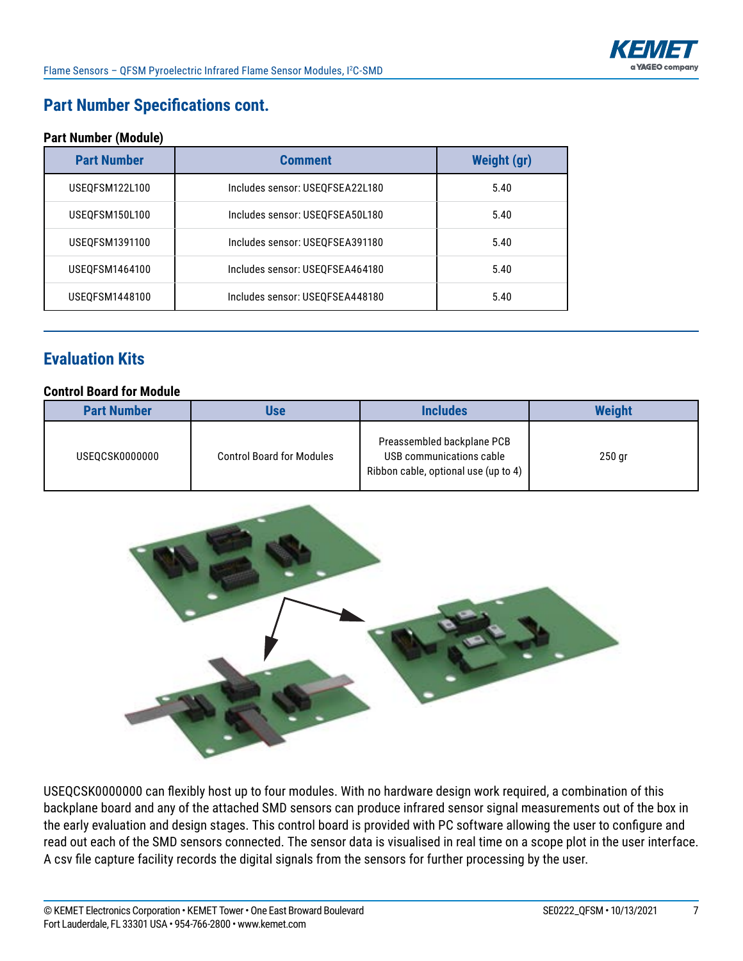

# **Part Number Specifications cont.**

#### **Part Number (Module)**

| <b>Part Number</b><br><b>Comment</b> |                                 | <b>Weight (gr)</b> |
|--------------------------------------|---------------------------------|--------------------|
| USEOFSM122L100                       | Includes sensor: USEQFSEA22L180 | 5.40               |
| USEQFSM150L100                       | Includes sensor: USEQFSEA50L180 | 5.40               |
| USEQFSM1391100                       | Includes sensor: USEQFSEA391180 | 5.40               |
| USEQFSM1464100                       | Includes sensor: USEQFSEA464180 | 5.40               |
| USEQFSM1448100                       | Includes sensor: USEQFSEA448180 | 5.40               |

# **Evaluation Kits**

#### **Control Board for Module**

| <b>Part Number</b> | Use                              | <b>Includes</b>                                                                                | <b>Weight</b> |
|--------------------|----------------------------------|------------------------------------------------------------------------------------------------|---------------|
| USEQCSK0000000     | <b>Control Board for Modules</b> | Preassembled backplane PCB<br>USB communications cable<br>Ribbon cable, optional use (up to 4) | $250$ gr      |



USEQCSK0000000 can flexibly host up to four modules. With no hardware design work required, a combination of this backplane board and any of the attached SMD sensors can produce infrared sensor signal measurements out of the box in the early evaluation and design stages. This control board is provided with PC software allowing the user to configure and read out each of the SMD sensors connected. The sensor data is visualised in real time on a scope plot in the user interface. A csv file capture facility records the digital signals from the sensors for further processing by the user.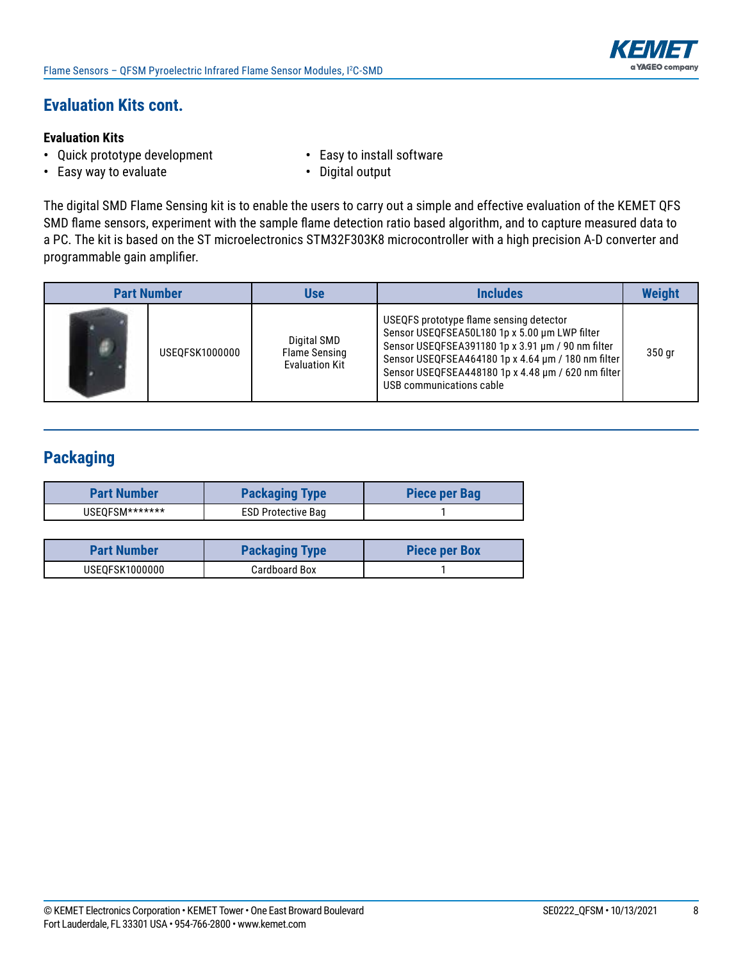

# **Evaluation Kits cont.**

#### **Evaluation Kits**

- **•** Quick prototype development **•** Easy to install software
	-
- **•** Easy way to evaluate **•** Digital output
	-

The digital SMD Flame Sensing kit is to enable the users to carry out a simple and effective evaluation of the KEMET QFS SMD flame sensors, experiment with the sample flame detection ratio based algorithm, and to capture measured data to a PC. The kit is based on the ST microelectronics STM32F303K8 microcontroller with a high precision A-D converter and programmable gain amplifier.

| <b>Part Number</b> |                | Use                                                          | <b>Includes</b>                                                                                                                                                                                                                                                                       | <b>Weight</b> |
|--------------------|----------------|--------------------------------------------------------------|---------------------------------------------------------------------------------------------------------------------------------------------------------------------------------------------------------------------------------------------------------------------------------------|---------------|
|                    | USEOFSK1000000 | Digital SMD<br><b>Flame Sensing</b><br><b>Evaluation Kit</b> | USEQFS prototype flame sensing detector<br>Sensor USEQFSEA50L180 1p x 5.00 um LWP filter<br>Sensor USEQFSEA391180 1p x 3.91 um / 90 nm filter<br>Sensor USEQFSEA464180 1p x 4.64 um / 180 nm filter<br>Sensor USEQFSEA448180 1p x 4.48 um / 620 nm filter<br>USB communications cable | 350 gr        |

# **Packaging**

| <b>Part Number</b> | <b>Packaging Type</b>     | Piece per Bag |
|--------------------|---------------------------|---------------|
| USEOFSM*******     | <b>ESD Protective Bag</b> |               |

| <b>Part Number</b> | <b>Packaging Type</b> | <b>Piece per Box</b> |
|--------------------|-----------------------|----------------------|
| USEQFSK1000000     | Cardboard Box         |                      |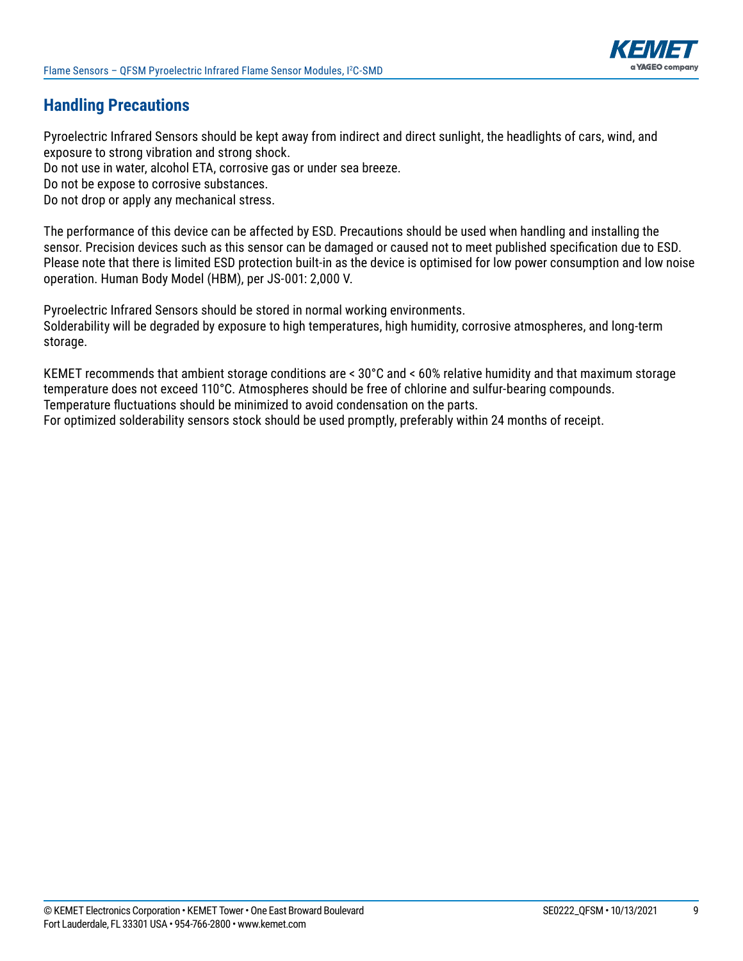

# **Handling Precautions**

Pyroelectric Infrared Sensors should be kept away from indirect and direct sunlight, the headlights of cars, wind, and exposure to strong vibration and strong shock.

Do not use in water, alcohol ETA, corrosive gas or under sea breeze.

Do not be expose to corrosive substances.

Do not drop or apply any mechanical stress.

The performance of this device can be affected by ESD. Precautions should be used when handling and installing the sensor. Precision devices such as this sensor can be damaged or caused not to meet published specification due to ESD. Please note that there is limited ESD protection built-in as the device is optimised for low power consumption and low noise operation. Human Body Model (HBM), per JS-001: 2,000 V.

Pyroelectric Infrared Sensors should be stored in normal working environments. Solderability will be degraded by exposure to high temperatures, high humidity, corrosive atmospheres, and long-term storage.

KEMET recommends that ambient storage conditions are < 30°C and < 60% relative humidity and that maximum storage temperature does not exceed 110°C. Atmospheres should be free of chlorine and sulfur-bearing compounds. Temperature fluctuations should be minimized to avoid condensation on the parts. For optimized solderability sensors stock should be used promptly, preferably within 24 months of receipt.